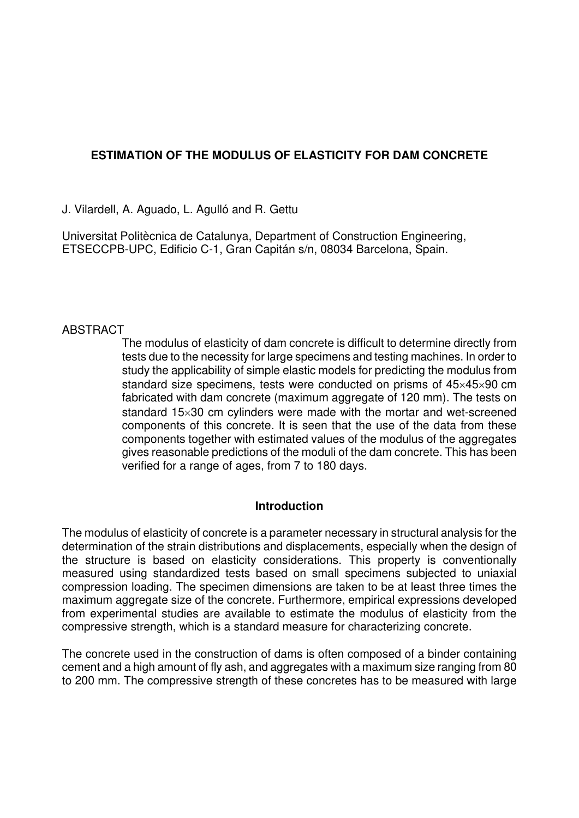## **ESTIMATION OF THE MODULUS OF ELASTICITY FOR DAM CONCRETE**

J. Vilardell, A. Aguado, L. Agulló and R. Gettu

Universitat Politècnica de Catalunya, Department of Construction Engineering, ETSECCPB-UPC, Edificio C-1, Gran Capitán s/n, 08034 Barcelona, Spain.

## **ABSTRACT**

The modulus of elasticity of dam concrete is difficult to determine directly from tests due to the necessity for large specimens and testing machines. In order to study the applicability of simple elastic models for predicting the modulus from standard size specimens, tests were conducted on prisms of 45×45×90 cm fabricated with dam concrete (maximum aggregate of 120 mm). The tests on standard 15×30 cm cylinders were made with the mortar and wet-screened components of this concrete. It is seen that the use of the data from these components together with estimated values of the modulus of the aggregates gives reasonable predictions of the moduli of the dam concrete. This has been verified for a range of ages, from 7 to 180 days.

## **Introduction**

The modulus of elasticity of concrete is a parameter necessary in structural analysis for the determination of the strain distributions and displacements, especially when the design of the structure is based on elasticity considerations. This property is conventionally measured using standardized tests based on small specimens subjected to uniaxial compression loading. The specimen dimensions are taken to be at least three times the maximum aggregate size of the concrete. Furthermore, empirical expressions developed from experimental studies are available to estimate the modulus of elasticity from the compressive strength, which is a standard measure for characterizing concrete.

The concrete used in the construction of dams is often composed of a binder containing cement and a high amount of fly ash, and aggregates with a maximum size ranging from 80 to 200 mm. The compressive strength of these concretes has to be measured with large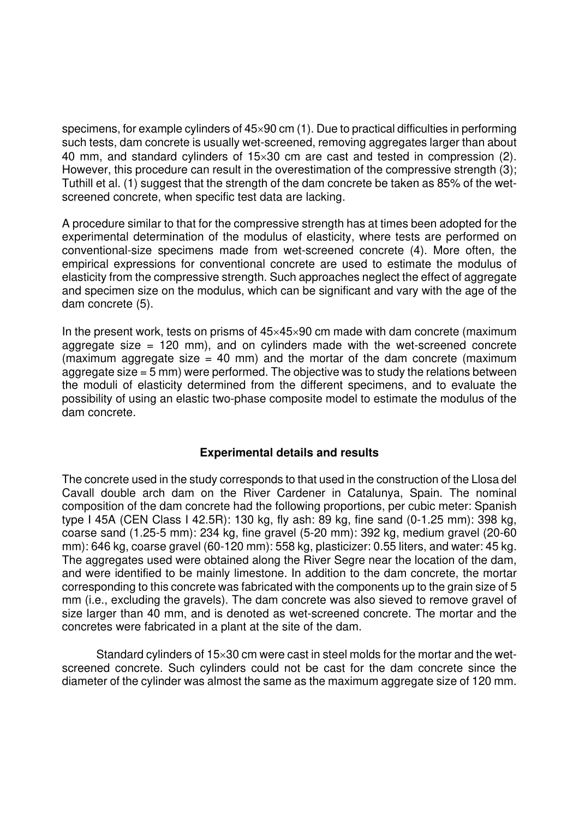specimens, for example cylinders of 45×90 cm (1). Due to practical difficulties in performing such tests, dam concrete is usually wet-screened, removing aggregates larger than about 40 mm, and standard cylinders of 15×30 cm are cast and tested in compression (2). However, this procedure can result in the overestimation of the compressive strength (3); Tuthill et al. (1) suggest that the strength of the dam concrete be taken as 85% of the wetscreened concrete, when specific test data are lacking.

A procedure similar to that for the compressive strength has at times been adopted for the experimental determination of the modulus of elasticity, where tests are performed on conventional-size specimens made from wet-screened concrete (4). More often, the empirical expressions for conventional concrete are used to estimate the modulus of elasticity from the compressive strength. Such approaches neglect the effect of aggregate and specimen size on the modulus, which can be significant and vary with the age of the dam concrete (5).

In the present work, tests on prisms of 45×45×90 cm made with dam concrete (maximum aggregate size  $= 120$  mm), and on cylinders made with the wet-screened concrete (maximum aggregate size  $= 40$  mm) and the mortar of the dam concrete (maximum aggregate size = 5 mm) were performed. The objective was to study the relations between the moduli of elasticity determined from the different specimens, and to evaluate the possibility of using an elastic two-phase composite model to estimate the modulus of the dam concrete.

## **Experimental details and results**

The concrete used in the study corresponds to that used in the construction of the Llosa del Cavall double arch dam on the River Cardener in Catalunya, Spain. The nominal composition of the dam concrete had the following proportions, per cubic meter: Spanish type I 45A (CEN Class I 42.5R): 130 kg, fly ash: 89 kg, fine sand (0-1.25 mm): 398 kg, coarse sand (1.25-5 mm): 234 kg, fine gravel (5-20 mm): 392 kg, medium gravel (20-60 mm): 646 kg, coarse gravel (60-120 mm): 558 kg, plasticizer: 0.55 liters, and water: 45 kg. The aggregates used were obtained along the River Segre near the location of the dam, and were identified to be mainly limestone. In addition to the dam concrete, the mortar corresponding to this concrete was fabricated with the components up to the grain size of 5 mm (i.e., excluding the gravels). The dam concrete was also sieved to remove gravel of size larger than 40 mm, and is denoted as wet-screened concrete. The mortar and the concretes were fabricated in a plant at the site of the dam.

Standard cylinders of 15×30 cm were cast in steel molds for the mortar and the wetscreened concrete. Such cylinders could not be cast for the dam concrete since the diameter of the cylinder was almost the same as the maximum aggregate size of 120 mm.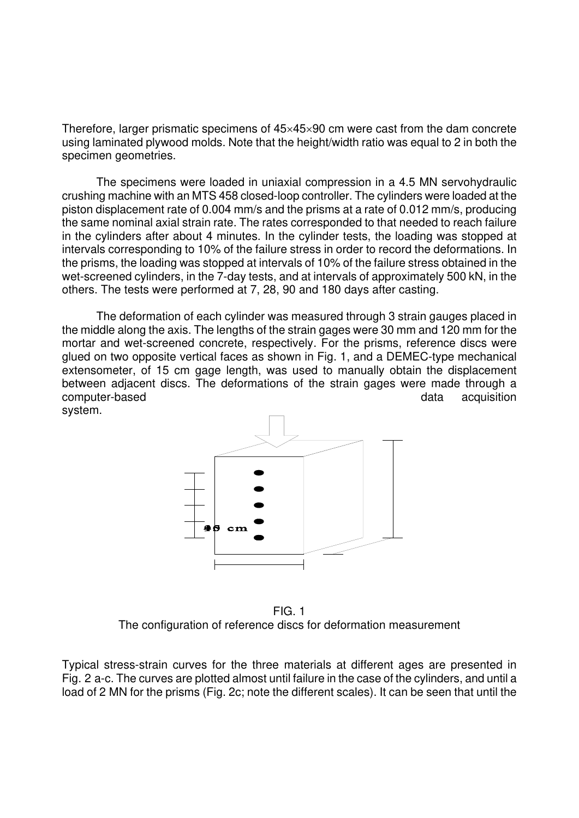Therefore, larger prismatic specimens of  $45\times45\times90$  cm were cast from the dam concrete using laminated plywood molds. Note that the height/width ratio was equal to 2 in both the specimen geometries.

The specimens were loaded in uniaxial compression in a 4.5 MN servohydraulic crushing machine with an MTS 458 closed-loop controller. The cylinders were loaded at the piston displacement rate of 0.004 mm/s and the prisms at a rate of 0.012 mm/s, producing the same nominal axial strain rate. The rates corresponded to that needed to reach failure in the cylinders after about 4 minutes. In the cylinder tests, the loading was stopped at intervals corresponding to 10% of the failure stress in order to record the deformations. In the prisms, the loading was stopped at intervals of 10% of the failure stress obtained in the wet-screened cylinders, in the 7-day tests, and at intervals of approximately 500 kN, in the others. The tests were performed at 7, 28, 90 and 180 days after casting.

The deformation of each cylinder was measured through 3 strain gauges placed in the middle along the axis. The lengths of the strain gages were 30 mm and 120 mm for the mortar and wet-screened concrete, respectively. For the prisms, reference discs were glued on two opposite vertical faces as shown in Fig. 1, and a DEMEC-type mechanical extensometer, of 15 cm gage length, was used to manually obtain the displacement between adjacent discs. The deformations of the strain gages were made through a computer-based computer-based acquisition system.



FIG. 1 The configuration of reference discs for deformation measurement

Typical stress-strain curves for the three materials at different ages are presented in Fig. 2 a-c. The curves are plotted almost until failure in the case of the cylinders, and until a load of 2 MN for the prisms (Fig. 2c; note the different scales). It can be seen that until the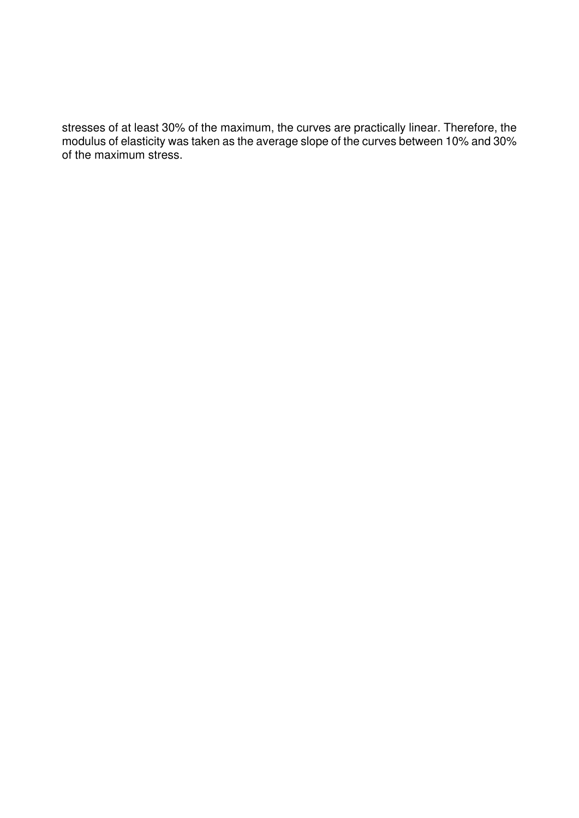stresses of at least 30% of the maximum, the curves are practically linear. Therefore, the modulus of elasticity was taken as the average slope of the curves between 10% and 30% of the maximum stress.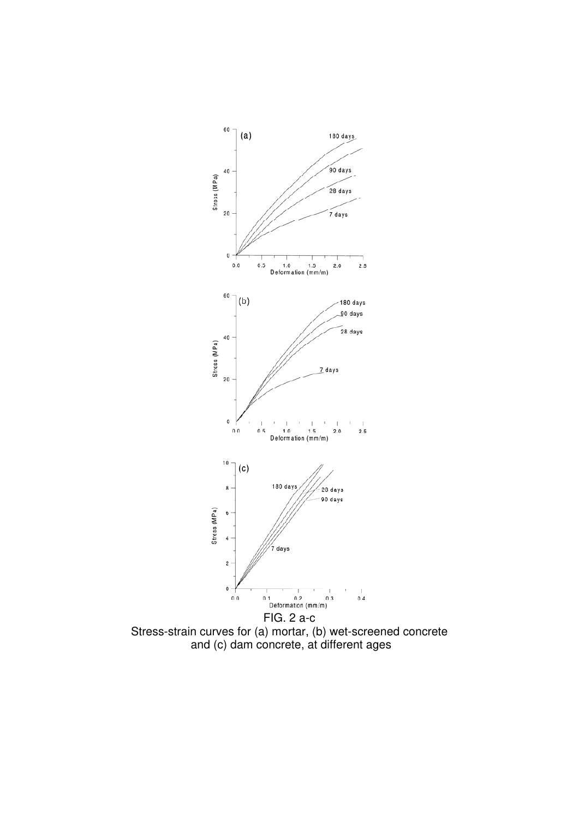

Stress-strain curves for (a) mortar, (b) wet-screened concrete and (c) dam concrete, at different ages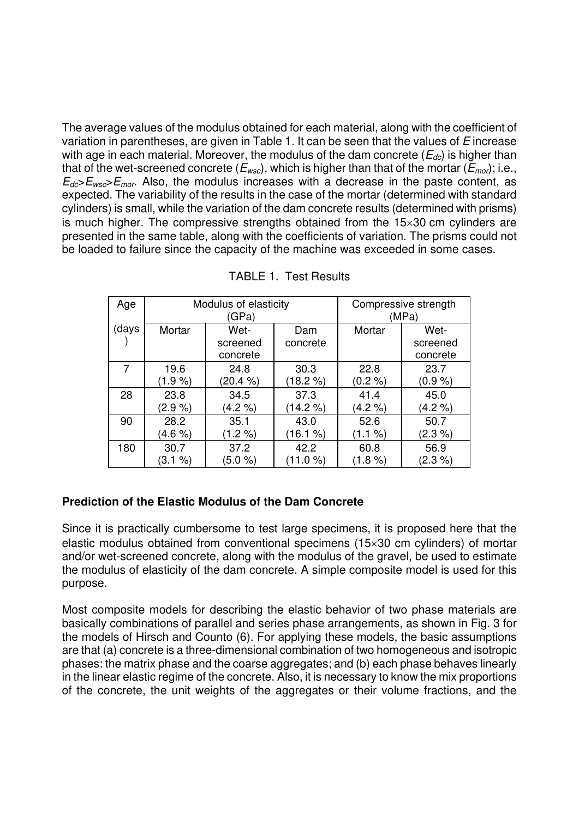The average values of the modulus obtained for each material, along with the coefficient of variation in parentheses, are given in Table 1. It can be seen that the values of E increase with age in each material. Moreover, the modulus of the dam concrete ( $E_{dc}$ ) is higher than that of the wet-screened concrete ( $E_{wsc}$ ), which is higher than that of the mortar ( $E_{mor}$ ); i.e.,  $E_{dc}E_{wc}E_{mc}$ . Also, the modulus increases with a decrease in the paste content, as expected. The variability of the results in the case of the mortar (determined with standard cylinders) is small, while the variation of the dam concrete results (determined with prisms) is much higher. The compressive strengths obtained from the 15×30 cm cylinders are presented in the same table, along with the coefficients of variation. The prisms could not be loaded to failure since the capacity of the machine was exceeded in some cases.

| Age   | Modulus of elasticity<br>(GPa) |                              |                 | Compressive strength<br>(MPa) |                              |
|-------|--------------------------------|------------------------------|-----------------|-------------------------------|------------------------------|
| (days | Mortar                         | Wet-<br>screened<br>concrete | Dam<br>concrete | Mortar                        | Wet-<br>screened<br>concrete |
| 7     | 19.6                           | 24.8                         | 30.3            | 22.8                          | 23.7                         |
|       | $(1.9\%)$                      | (20.4 %)                     | 18.2 %          | (0.2 %)                       | $(0.9\%)$                    |
| 28    | 23.8                           | 34.5                         | 37.3            | 41.4                          | 45.0                         |
|       | $(2.9\%)$                      | $(4.2\% )$                   | $(14.2\%)$      | $(4.2\% )$                    | $(4.2\% )$                   |
| 90    | 28.2                           | 35.1                         | 43.0            | 52.6                          | 50.7                         |
|       | $(4.6\% )$                     | $(1.2\%)$                    | (16.1 %)        | (1.1 %)                       | $(2.3\%)$                    |
| 180   | 30.7                           | 37.2                         | 42.2            | 60.8                          | 56.9                         |
|       | (3.1 %)                        | $(5.0 \%)$                   | 11.0%           | $(1.8\%)$                     | $(2.3\% )$                   |

TABLE 1. Test Results

# **Prediction of the Elastic Modulus of the Dam Concrete**

Since it is practically cumbersome to test large specimens, it is proposed here that the elastic modulus obtained from conventional specimens (15×30 cm cylinders) of mortar and/or wet-screened concrete, along with the modulus of the gravel, be used to estimate the modulus of elasticity of the dam concrete. A simple composite model is used for this purpose.

Most composite models for describing the elastic behavior of two phase materials are basically combinations of parallel and series phase arrangements, as shown in Fig. 3 for the models of Hirsch and Counto (6). For applying these models, the basic assumptions are that (a) concrete is a three-dimensional combination of two homogeneous and isotropic phases: the matrix phase and the coarse aggregates; and (b) each phase behaves linearly in the linear elastic regime of the concrete. Also, it is necessary to know the mix proportions of the concrete, the unit weights of the aggregates or their volume fractions, and the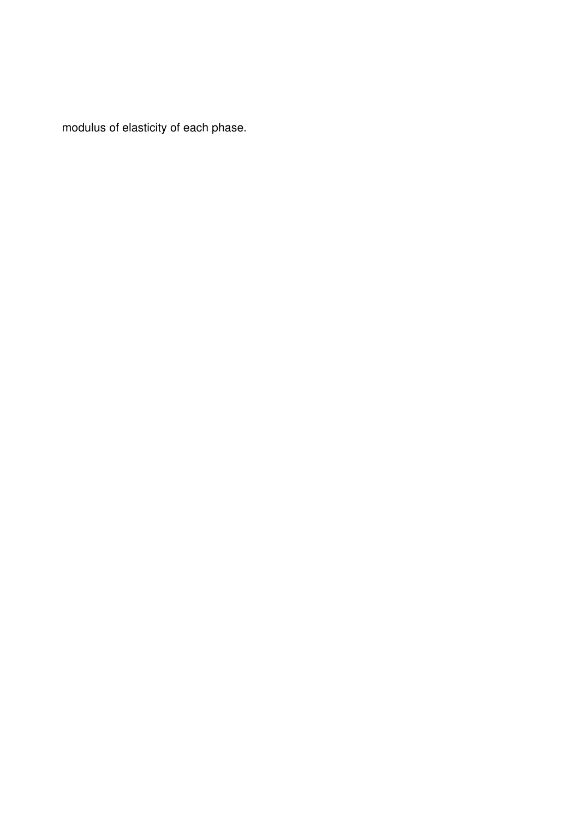modulus of elasticity of each phase.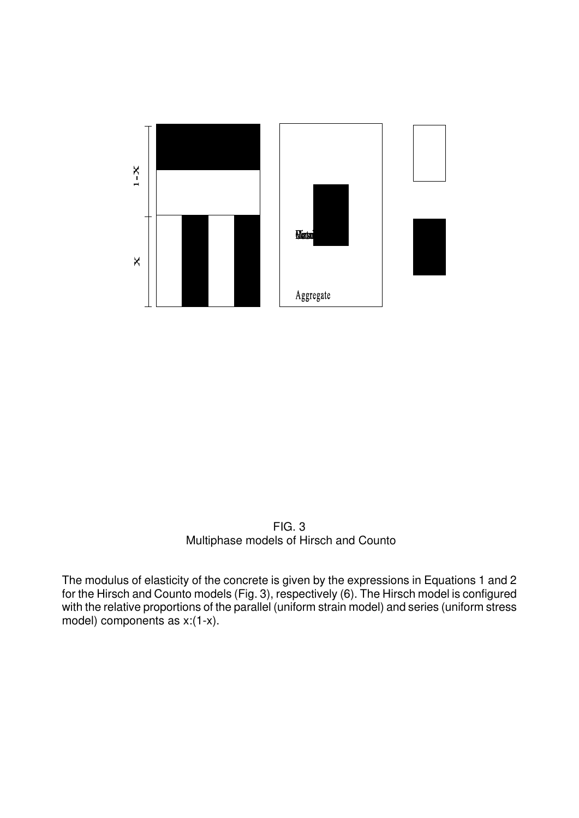

FIG. 3 Multiphase models of Hirsch and Counto

The modulus of elasticity of the concrete is given by the expressions in Equations 1 and 2 for the Hirsch and Counto models (Fig. 3), respectively (6). The Hirsch model is configured with the relative proportions of the parallel (uniform strain model) and series (uniform stress model) components as x:(1-x).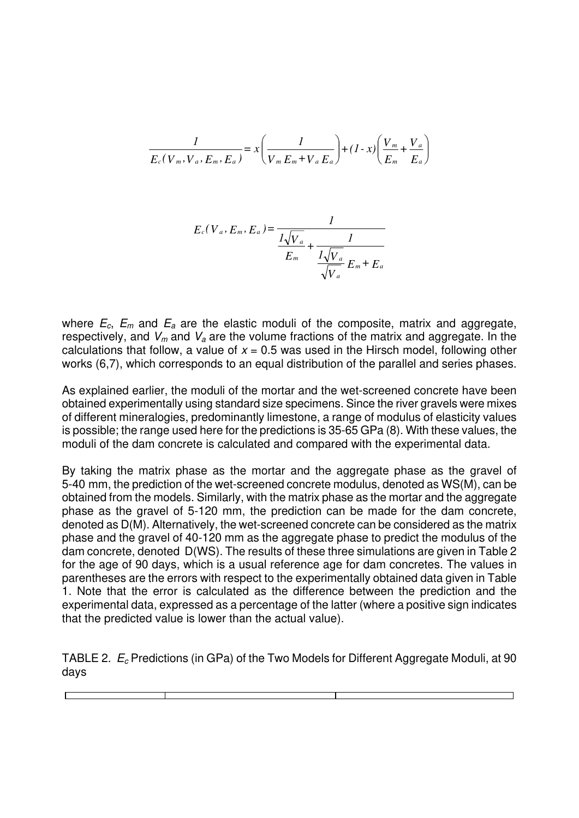$$
\frac{1}{E_c(V_m, V_a, E_m, E_a)} = x \left( \frac{1}{V_m E_m + V_a E_a} \right) + (1 - x) \left( \frac{V_m}{E_m} + \frac{V_a}{E_a} \right)
$$

$$
E_c(V_a, E_m, E_a) = \frac{1}{\frac{1\sqrt{V_a}}{E_m} + \frac{1}{\frac{1\sqrt{V_a}}{\sqrt{V_a}}E_m + E_a}}
$$

where  $E_c$ ,  $E_m$  and  $E_a$  are the elastic moduli of the composite, matrix and aggregate, respectively, and  $V_m$  and  $V_a$  are the volume fractions of the matrix and aggregate. In the calculations that follow, a value of  $x = 0.5$  was used in the Hirsch model, following other works (6,7), which corresponds to an equal distribution of the parallel and series phases.

As explained earlier, the moduli of the mortar and the wet-screened concrete have been obtained experimentally using standard size specimens. Since the river gravels were mixes of different mineralogies, predominantly limestone, a range of modulus of elasticity values is possible; the range used here for the predictions is 35-65 GPa (8). With these values, the moduli of the dam concrete is calculated and compared with the experimental data.

By taking the matrix phase as the mortar and the aggregate phase as the gravel of 5-40 mm, the prediction of the wet-screened concrete modulus, denoted as WS(M), can be obtained from the models. Similarly, with the matrix phase as the mortar and the aggregate phase as the gravel of 5-120 mm, the prediction can be made for the dam concrete, denoted as D(M). Alternatively, the wet-screened concrete can be considered as the matrix phase and the gravel of 40-120 mm as the aggregate phase to predict the modulus of the dam concrete, denoted D(WS). The results of these three simulations are given in Table 2 for the age of 90 days, which is a usual reference age for dam concretes. The values in parentheses are the errors with respect to the experimentally obtained data given in Table 1. Note that the error is calculated as the difference between the prediction and the experimental data, expressed as a percentage of the latter (where a positive sign indicates that the predicted value is lower than the actual value).

TABLE 2.  $E_c$  Predictions (in GPa) of the Two Models for Different Aggregate Moduli, at 90 days

l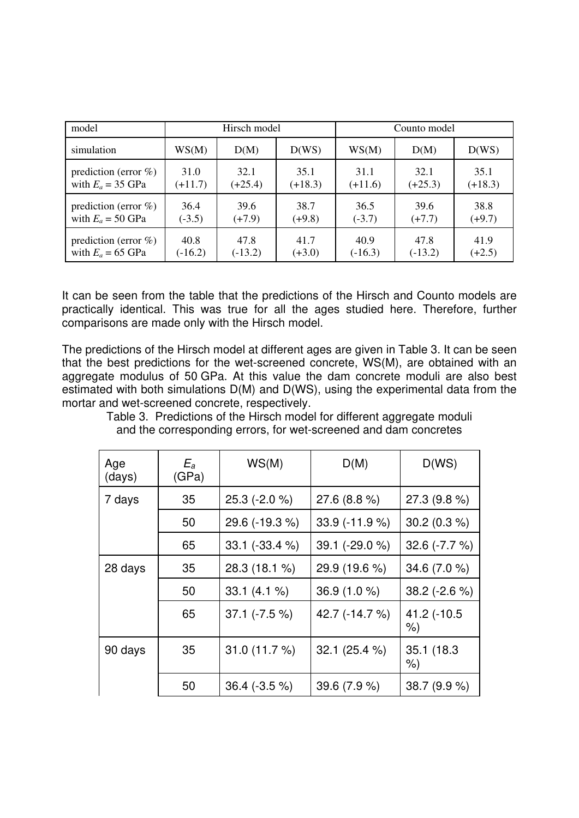| model                    | Hirsch model |           |           | Counto model |           |           |
|--------------------------|--------------|-----------|-----------|--------------|-----------|-----------|
| simulation               | WS(M)        | D(M)      | D(WS)     | WS(M)        | D(M)      | D(WS)     |
| prediction (error $\%$ ) | 31.0         | 32.1      | 35.1      | 31.1         | 32.1      | 35.1      |
| with $E_a = 35$ GPa      | $(+11.7)$    | $(+25.4)$ | $(+18.3)$ | $(+11.6)$    | $(+25.3)$ | $(+18.3)$ |
| prediction (error $\%$ ) | 36.4         | 39.6      | 38.7      | 36.5         | 39.6      | 38.8      |
| with $E_a = 50$ GPa      | $(-3.5)$     | $(+7.9)$  | $(+9.8)$  | $(-3.7)$     | $(+7.7)$  | $(+9.7)$  |
| prediction (error $\%$ ) | 40.8         | 47.8      | 41.7      | 40.9         | 47.8      | 41.9      |
| with $E_a = 65$ GPa      | $(-16.2)$    | $(-13.2)$ | $(+3.0)$  | $(-16.3)$    | $(-13.2)$ | $(+2.5)$  |

It can be seen from the table that the predictions of the Hirsch and Counto models are practically identical. This was true for all the ages studied here. Therefore, further comparisons are made only with the Hirsch model.

The predictions of the Hirsch model at different ages are given in Table 3. It can be seen that the best predictions for the wet-screened concrete, WS(M), are obtained with an aggregate modulus of 50 GPa. At this value the dam concrete moduli are also best estimated with both simulations D(M) and D(WS), using the experimental data from the mortar and wet-screened concrete, respectively.

Table 3. Predictions of the Hirsch model for different aggregate moduli and the corresponding errors, for wet-screened and dam concretes

| Age<br>(days) | $E_a$<br>(GPa) | WS(M)              | D(M)             | D(WS)               |
|---------------|----------------|--------------------|------------------|---------------------|
| 7 days        | 35             | $25.3$ (-2.0 %)    | 27.6 (8.8 %)     | $27.3(9.8\%)$       |
|               | 50             | 29.6 (-19.3 %)     | $33.9$ (-11.9 %) | $30.2(0.3\%)$       |
|               | 65             | $33.1$ (-33.4 %)   | 39.1 (-29.0 %)   | $32.6 (-7.7 %)$     |
| 28 days       | 35             | 28.3 (18.1 %)      | 29.9 (19.6 %)    | 34.6 $(7.0%$        |
|               | 50             | $33.1(4.1\%)$      | $36.9(1.0\%)$    | $38.2$ (-2.6 %)     |
|               | 65             | $37.1$ ( $-7.5$ %) | 42.7 (-14.7 %)   | 41.2 (-10.5<br>$\%$ |
| 90 days       | 35             | 31.0 (11.7 %)      | 32.1 (25.4 %)    | 35.1 (18.3)<br>$\%$ |
|               | 50             | $36.4$ (-3.5 %)    | 39.6 (7.9 %)     | 38.7 (9.9 %)        |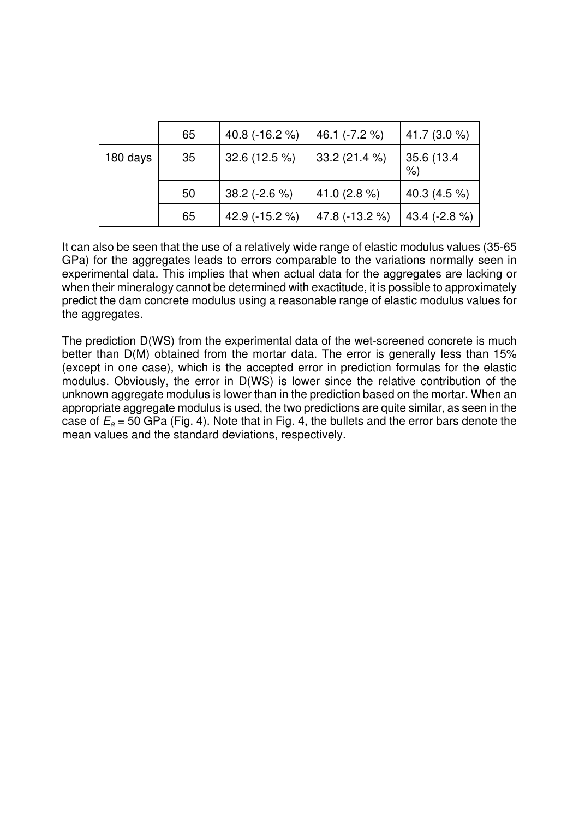|          | 65 | 40.8 $(-16.2 %$ | 46.1 (-7.2 %)  | 41.7 $(3.0\%$    |
|----------|----|-----------------|----------------|------------------|
| 180 days | 35 | 32.6 (12.5 %)   | 33.2(21.4%)    | 35.6 (13.4)<br>% |
|          | 50 | 38.2 (-2.6 %)   | 41.0 $(2.8\%)$ | 40.3 (4.5 %)     |
|          | 65 | 42.9 (-15.2 %)  | 47.8 (-13.2 %) | 43.4 $(-2.8\%)$  |

It can also be seen that the use of a relatively wide range of elastic modulus values (35-65 GPa) for the aggregates leads to errors comparable to the variations normally seen in experimental data. This implies that when actual data for the aggregates are lacking or when their mineralogy cannot be determined with exactitude, it is possible to approximately predict the dam concrete modulus using a reasonable range of elastic modulus values for the aggregates.

The prediction D(WS) from the experimental data of the wet-screened concrete is much better than D(M) obtained from the mortar data. The error is generally less than 15% (except in one case), which is the accepted error in prediction formulas for the elastic modulus. Obviously, the error in D(WS) is lower since the relative contribution of the unknown aggregate modulus is lower than in the prediction based on the mortar. When an appropriate aggregate modulus is used, the two predictions are quite similar, as seen in the case of  $E_a$  = 50 GPa (Fig. 4). Note that in Fig. 4, the bullets and the error bars denote the mean values and the standard deviations, respectively.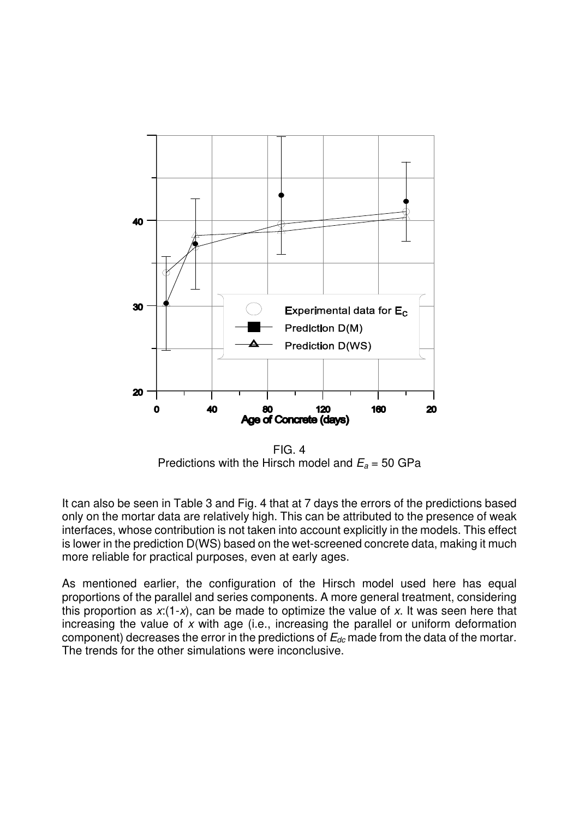

FIG. 4 Predictions with the Hirsch model and  $E_a$  = 50 GPa

It can also be seen in Table 3 and Fig. 4 that at 7 days the errors of the predictions based only on the mortar data are relatively high. This can be attributed to the presence of weak interfaces, whose contribution is not taken into account explicitly in the models. This effect is lower in the prediction D(WS) based on the wet-screened concrete data, making it much more reliable for practical purposes, even at early ages.

As mentioned earlier, the configuration of the Hirsch model used here has equal proportions of the parallel and series components. A more general treatment, considering this proportion as  $x:(1-x)$ , can be made to optimize the value of x. It was seen here that increasing the value of  $x$  with age (i.e., increasing the parallel or uniform deformation component) decreases the error in the predictions of  $E_{dc}$  made from the data of the mortar. The trends for the other simulations were inconclusive.